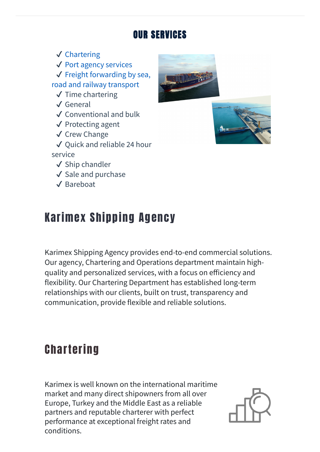#### OUR SERVICES

✔ Chartering ✔ Port agency [services](#page-1-0)  $\checkmark$  Freight [forwarding](#page-1-1) by sea, road and railway transport ✔ Time chartering ✔ General ✔ [Conventional](#page-0-0) and bulk ✔ Protecting agent ✔ Crew Change ✔ Quick and reliable 24 hour service ✔ Ship chandler ✔ Sale and purchase ✔ Bareboat





# Karimex Shipping Agency

Karimex Shipping Agency provides end-to-end commercial solutions. Our agency, Chartering and Operations department maintain highquality and personalized services, with a focus on efficiency and flexibility. Our Chartering Department has established long-term relationships with our clients, built on trust, transparency and communication, provide flexible and reliable solutions.

## <span id="page-0-0"></span>**Chartering**

Karimex is well known on the international maritime market and many direct shipowners from all over Europe, Turkey and the Middle East as a reliable partners and reputable charterer with perfect performance at exceptional freight rates and conditions.